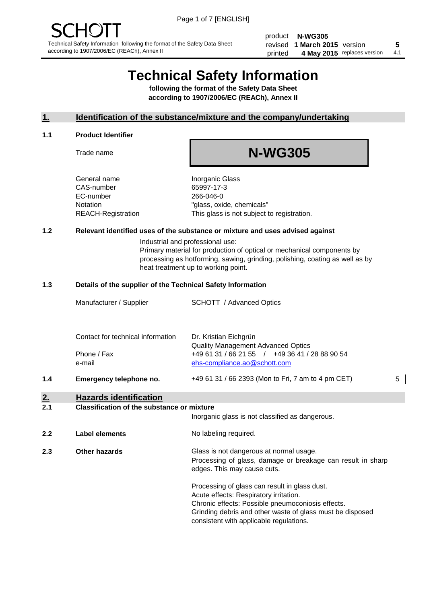product **N-WG305** revised **5 1 March 2015** version printed 4 May 2015 replaces version 4.1

# **Technical Safety Information**

**following the format of the Safety Data Sheet according to 1907/2006/EC (REACh), Annex II**

#### **1. Identification of the substance/mixture and the company/undertaking**

#### **1.1 Product Identifier**

Trade name

## **N-WG305**

General name **Inorganic Glass** CAS-number 65997-17-3 EC-number 266-046-0

Notation "glass, oxide, chemicals" REACH-Registration This glass is not subject to registration.

#### **1.2 Relevant identified uses of the substance or mixture and uses advised against**

Industrial and professional use: Primary material for production of optical or mechanical components by processing as hotforming, sawing, grinding, polishing, coating as well as by heat treatment up to working point.

#### **1.3 Details of the supplier of the Technical Safety Information**

|     | Manufacturer / Supplier           | <b>SCHOTT</b> / Advanced Optics                                                                                             |   |
|-----|-----------------------------------|-----------------------------------------------------------------------------------------------------------------------------|---|
|     | Contact for technical information | Dr. Kristian Eichgrün                                                                                                       |   |
|     | Phone / Fax<br>e-mail             | <b>Quality Management Advanced Optics</b><br>+49 61 31 / 66 21 55 / +49 36 41 / 28 88 90 54<br>ehs-compliance.ao@schott.com |   |
| 1.4 | Emergency telephone no.           | +49 61 31 / 66 2393 (Mon to Fri, 7 am to 4 pm CET)                                                                          | 5 |

#### **2. Hazards identification**

#### **2.1 Classification of the substance or mixture**

|     |                      | Inorganic glass is not classified as dangerous.                                                                                                                                                                                                      |
|-----|----------------------|------------------------------------------------------------------------------------------------------------------------------------------------------------------------------------------------------------------------------------------------------|
| 2.2 | Label elements       | No labeling required.                                                                                                                                                                                                                                |
| 2.3 | <b>Other hazards</b> | Glass is not dangerous at normal usage.<br>Processing of glass, damage or breakage can result in sharp<br>edges. This may cause cuts.                                                                                                                |
|     |                      | Processing of glass can result in glass dust.<br>Acute effects: Respiratory irritation.<br>Chronic effects: Possible pneumoconiosis effects.<br>Grinding debris and other waste of glass must be disposed<br>consistent with applicable regulations. |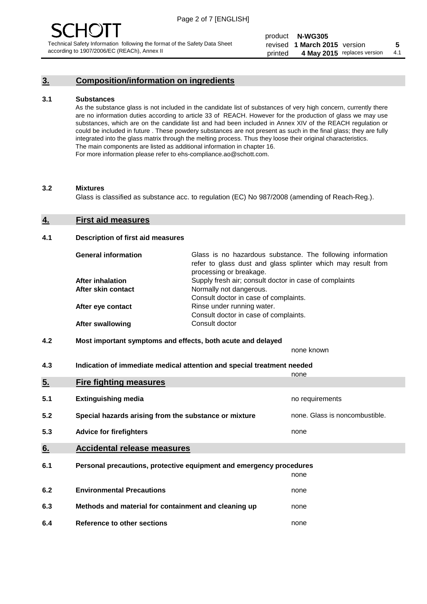## **3. Composition/information on ingredients**

#### **3.1 Substances**

As the substance glass is not included in the candidate list of substances of very high concern, currently there are no information duties according to article 33 of REACH. However for the production of glass we may use substances, which are on the candidate list and had been included in Annex XIV of the REACH regulation or could be included in future . These powdery substances are not present as such in the final glass; they are fully integrated into the glass matrix through the melting process. Thus they loose their original characteristics. The main components are listed as additional information in chapter 16. For more information please refer to ehs-compliance.ao@schott.com.

#### **3.2 Mixtures**

Glass is classified as substance acc. to regulation (EC) No 987/2008 (amending of Reach-Reg.).

#### **4. First aid measures**

#### **4.1 Description of first aid measures**

| <b>General information</b> | Glass is no hazardous substance. The following information<br>refer to glass dust and glass splinter which may result from<br>processing or breakage. |
|----------------------------|-------------------------------------------------------------------------------------------------------------------------------------------------------|
| <b>After inhalation</b>    | Supply fresh air; consult doctor in case of complaints                                                                                                |
| After skin contact         | Normally not dangerous.                                                                                                                               |
|                            | Consult doctor in case of complaints.                                                                                                                 |
| After eye contact          | Rinse under running water.                                                                                                                            |
|                            | Consult doctor in case of complaints.                                                                                                                 |
| <b>After swallowing</b>    | Consult doctor                                                                                                                                        |

#### **4.2 Most important symptoms and effects, both acute and delayed**

none known

**4.3 Indication of immediate medical attention and special treatment needed** 

|     |                                                                     | none                           |
|-----|---------------------------------------------------------------------|--------------------------------|
| 5.  | <b>Fire fighting measures</b>                                       |                                |
| 5.1 | <b>Extinguishing media</b>                                          | no requirements                |
| 5.2 | Special hazards arising from the substance or mixture               | none. Glass is noncombustible. |
| 5.3 | <b>Advice for firefighters</b>                                      | none                           |
| 6.  | <b>Accidental release measures</b>                                  |                                |
| 6.1 | Personal precautions, protective equipment and emergency procedures |                                |
|     |                                                                     | none                           |
| 6.2 | <b>Environmental Precautions</b>                                    | none                           |
| 6.3 | Methods and material for containment and cleaning up                | none                           |
| 6.4 | Reference to other sections                                         | none                           |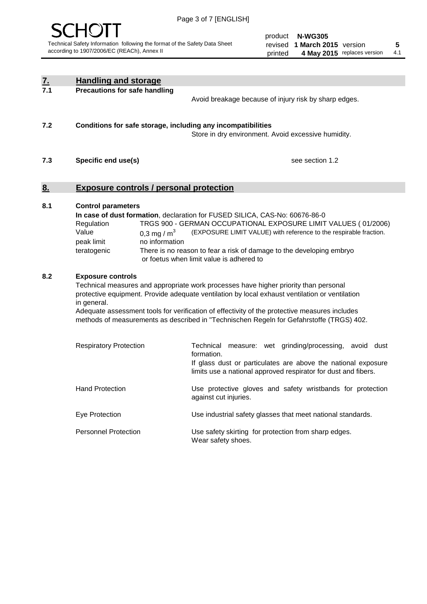

| <u>7.</u><br>7.1                                                                                                                                                                                                                                                                                                                                                                                                                      | <b>Handling and storage</b>                                                                                      |                                                                                                                                                                                                                                                                                                                                        |
|---------------------------------------------------------------------------------------------------------------------------------------------------------------------------------------------------------------------------------------------------------------------------------------------------------------------------------------------------------------------------------------------------------------------------------------|------------------------------------------------------------------------------------------------------------------|----------------------------------------------------------------------------------------------------------------------------------------------------------------------------------------------------------------------------------------------------------------------------------------------------------------------------------------|
|                                                                                                                                                                                                                                                                                                                                                                                                                                       | <b>Precautions for safe handling</b>                                                                             | Avoid breakage because of injury risk by sharp edges.                                                                                                                                                                                                                                                                                  |
| 7.2                                                                                                                                                                                                                                                                                                                                                                                                                                   | Conditions for safe storage, including any incompatibilities                                                     | Store in dry environment. Avoid excessive humidity.                                                                                                                                                                                                                                                                                    |
| 7.3                                                                                                                                                                                                                                                                                                                                                                                                                                   | Specific end use(s)                                                                                              | see section 1.2                                                                                                                                                                                                                                                                                                                        |
| <u>8.</u>                                                                                                                                                                                                                                                                                                                                                                                                                             | <b>Exposure controls / personal protection</b>                                                                   |                                                                                                                                                                                                                                                                                                                                        |
| 8.1                                                                                                                                                                                                                                                                                                                                                                                                                                   | <b>Control parameters</b><br>Regulation<br>Value<br>0,3 mg / $m3$<br>peak limit<br>no information<br>teratogenic | In case of dust formation, declaration for FUSED SILICA, CAS-No: 60676-86-0<br>TRGS 900 - GERMAN OCCUPATIONAL EXPOSURE LIMIT VALUES (01/2006)<br>(EXPOSURE LIMIT VALUE) with reference to the respirable fraction.<br>There is no reason to fear a risk of damage to the developing embryo<br>or foetus when limit value is adhered to |
| 8.2<br><b>Exposure controls</b><br>Technical measures and appropriate work processes have higher priority than personal<br>protective equipment. Provide adequate ventilation by local exhaust ventilation or ventilation<br>in general.<br>Adequate assessment tools for verification of effectivity of the protective measures includes<br>methods of measurements as described in "Technischen Regeln for Gefahrstoffe (TRGS) 402. |                                                                                                                  |                                                                                                                                                                                                                                                                                                                                        |
|                                                                                                                                                                                                                                                                                                                                                                                                                                       | <b>Respiratory Protection</b>                                                                                    | Technical measure: wet grinding/processing, avoid dust<br>formation.<br>If glass dust or particulates are above the national exposure<br>limits use a national approved respirator for dust and fibers.                                                                                                                                |
|                                                                                                                                                                                                                                                                                                                                                                                                                                       | <b>Hand Protection</b>                                                                                           | Use protective gloves and safety wristbands for protection<br>against cut injuries.                                                                                                                                                                                                                                                    |
|                                                                                                                                                                                                                                                                                                                                                                                                                                       | Eye Protection                                                                                                   | Use industrial safety glasses that meet national standards.                                                                                                                                                                                                                                                                            |
|                                                                                                                                                                                                                                                                                                                                                                                                                                       | <b>Personnel Protection</b>                                                                                      | Use safety skirting for protection from sharp edges.<br>Wear safety shoes.                                                                                                                                                                                                                                                             |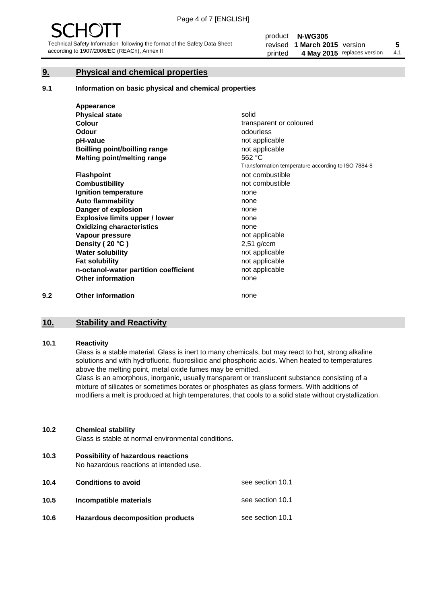#### **9. Physical and chemical properties**

#### **9.1 Information on basic physical and chemical properties**

|     | Appearance                            |                                                    |
|-----|---------------------------------------|----------------------------------------------------|
|     | <b>Physical state</b>                 | solid                                              |
|     | <b>Colour</b>                         | transparent or coloured                            |
|     | <b>Odour</b>                          | odourless                                          |
|     | pH-value                              | not applicable                                     |
|     | Boilling point/boilling range         | not applicable                                     |
|     | Melting point/melting range           | 562 °C                                             |
|     |                                       | Transformation temperature according to ISO 7884-8 |
|     | <b>Flashpoint</b>                     | not combustible                                    |
|     | <b>Combustibility</b>                 | not combustible                                    |
|     | Ignition temperature                  | none                                               |
|     | <b>Auto flammability</b>              | none                                               |
|     | Danger of explosion                   | none                                               |
|     | <b>Explosive limits upper / lower</b> | none                                               |
|     | <b>Oxidizing characteristics</b>      | none                                               |
|     | Vapour pressure                       | not applicable                                     |
|     | Density (20 °C)                       | $2,51$ g/ccm                                       |
|     | <b>Water solubility</b>               | not applicable                                     |
|     | <b>Fat solubility</b>                 | not applicable                                     |
|     | n-octanol-water partition coefficient | not applicable                                     |
|     | <b>Other information</b>              | none                                               |
| 9.2 | <b>Other information</b>              | none                                               |

#### **10. Stability and Reactivity**

#### **10.1 Reactivity**

Glass is a stable material. Glass is inert to many chemicals, but may react to hot, strong alkaline solutions and with hydrofluoric, fluorosilicic and phosphoric acids. When heated to temperatures above the melting point, metal oxide fumes may be emitted.

Glass is an amorphous, inorganic, usually transparent or translucent substance consisting of a mixture of silicates or sometimes borates or phosphates as glass formers. With additions of modifiers a melt is produced at high temperatures, that cools to a solid state without crystallization.

#### **10.2 Chemical stability**

Glass is stable at normal environmental conditions.

**10.3 Possibility of hazardous reactions** 

No hazardous reactions at intended use.

| 10.4 | <b>Conditions to avoid</b>              | see section 10.1 |
|------|-----------------------------------------|------------------|
| 10.5 | Incompatible materials                  | see section 10.1 |
| 10.6 | <b>Hazardous decomposition products</b> | see section 10.1 |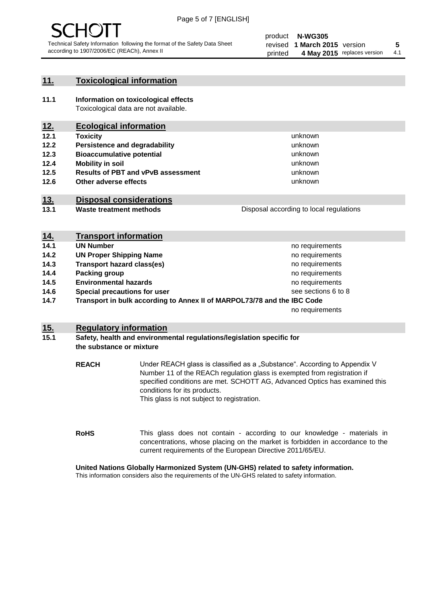

#### **11. Toxicological information**

**11.1 Information on toxicological effects** Toxicological data are not available.

## **12. Ecological information**

- **12.1 Toxicity**
- **12.2 Persistence and degradability**
- **12.3 Bioaccumulative potential**
- **12.4 Mobility in soil**
- **12.5 Results of PBT and vPvB assessment**
- **12.6 Other adverse effects**

#### **13. Disposal considerations**

**13.1 Waste treatment methods**

Disposal according to local regulations

unknown unknown unknown unknown

unknown unknown

| <u>14.</u> | <b>Transport information</b>                                            |                     |
|------------|-------------------------------------------------------------------------|---------------------|
| 14.1       | <b>UN Number</b>                                                        | no requirements     |
| 14.2       | <b>UN Proper Shipping Name</b>                                          | no requirements     |
| 14.3       | <b>Transport hazard class(es)</b>                                       | no requirements     |
| 14.4       | Packing group                                                           | no requirements     |
| 14.5       | <b>Environmental hazards</b>                                            | no requirements     |
| 14.6       | Special precautions for user                                            | see sections 6 to 8 |
| 14.7       | Transport in bulk according to Annex II of MARPOL73/78 and the IBC Code |                     |
|            |                                                                         | no requirements     |

#### **15. Regulatory information**

#### **15.1 Safety, health and environmental regulations/legislation specific for the substance or mixture**

**REACH** Under REACH glass is classified as a "Substance". According to Appendix V Number 11 of the REACh regulation glass is exempted from registration if specified conditions are met. SCHOTT AG, Advanced Optics has examined this conditions for its products. This glass is not subject to registration.

**RoHS** This glass does not contain - according to our knowledge - materials in concentrations, whose placing on the market is forbidden in accordance to the current requirements of the European Directive 2011/65/EU.

#### **United Nations Globally Harmonized System (UN-GHS) related to safety information.**

This information considers also the requirements of the UN-GHS related to safety information.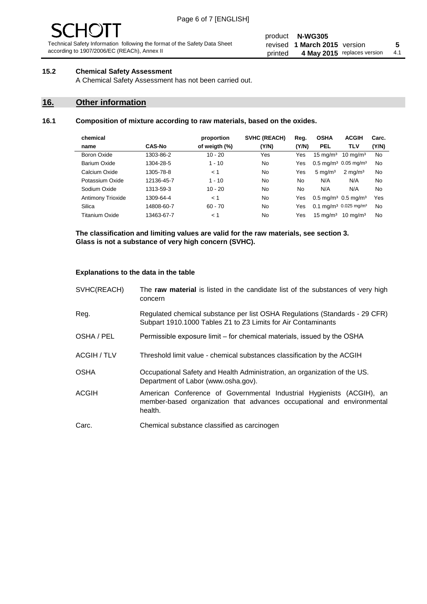# $\mathbf{H}$

Technical Safety Information following the format of the Safety Data Sheet according to 1907/2006/EC (REACh), Annex II

#### product **N-WG305** revised **5 1 March 2015** version printed 4 May 2015 replaces version 4.1

#### **15.2 Chemical Safety Assessment**

A Chemical Safety Assessment has not been carried out.

#### **16. Other information**

#### **16.1 Composition of mixture according to raw materials, based on the oxides.**

| chemical          |               | proportion    | <b>SVHC (REACH)</b> | Reg.  | <b>OSHA</b>                                  | <b>ACGIH</b>        | Carc. |
|-------------------|---------------|---------------|---------------------|-------|----------------------------------------------|---------------------|-------|
| name              | <b>CAS-No</b> | of weigth (%) | (Y/N)               | (Y/N) | <b>PEL</b>                                   | <b>TLV</b>          | (Y/N) |
| Boron Oxide       | 1303-86-2     | $10 - 20$     | Yes                 | Yes   | $15 \text{ mg/m}^3$                          | $10 \text{ mg/m}^3$ | No    |
| Barium Oxide      | 1304-28-5     | $1 - 10$      | No                  | Yes   | $0.5 \text{ mg/m}^3$ 0.05 mg/m <sup>3</sup>  |                     | No    |
| Calcium Oxide     | 1305-78-8     | < 1           | N <sub>0</sub>      | Yes   | $5 \text{ mg/m}^3$                           | $2 \text{ mg/m}^3$  | No    |
| Potassium Oxide   | 12136-45-7    | $1 - 10$      | No                  | No    | N/A                                          | N/A                 | No    |
| Sodium Oxide      | 1313-59-3     | $10 - 20$     | No                  | No    | N/A                                          | N/A                 | No    |
| Antimony Trioxide | 1309-64-4     | < 1           | No                  | Yes   | $0.5 \text{ mg/m}^3$ 0.5 mg/m <sup>3</sup>   |                     | Yes   |
| Silica            | 14808-60-7    | $60 - 70$     | No                  | Yes   | $0.1 \text{ mg/m}^3$ 0.025 mg/m <sup>3</sup> |                     | No    |
| Titanium Oxide    | 13463-67-7    | < 1           | No                  | Yes   | $15 \text{ mg/m}^3$                          | $10 \text{ mg/m}^3$ | No    |
|                   |               |               |                     |       |                                              |                     |       |

**The classification and limiting values are valid for the raw materials, see section 3. Glass is not a substance of very high concern (SVHC).**

#### **Explanations to the data in the table**

| SVHC(REACH)        | The raw material is listed in the candidate list of the substances of very high<br>concern                                                                 |
|--------------------|------------------------------------------------------------------------------------------------------------------------------------------------------------|
| Reg.               | Regulated chemical substance per list OSHA Regulations (Standards - 29 CFR)<br>Subpart 1910.1000 Tables Z1 to Z3 Limits for Air Contaminants               |
| OSHA / PEL         | Permissible exposure limit – for chemical materials, issued by the OSHA                                                                                    |
| <b>ACGIH / TLV</b> | Threshold limit value - chemical substances classification by the ACGIH                                                                                    |
| <b>OSHA</b>        | Occupational Safety and Health Administration, an organization of the US.<br>Department of Labor (www.osha.gov).                                           |
| ACGIH              | American Conference of Governmental Industrial Hygienists (ACGIH), an<br>member-based organization that advances occupational and environmental<br>health. |
| Carc.              | Chemical substance classified as carcinogen                                                                                                                |